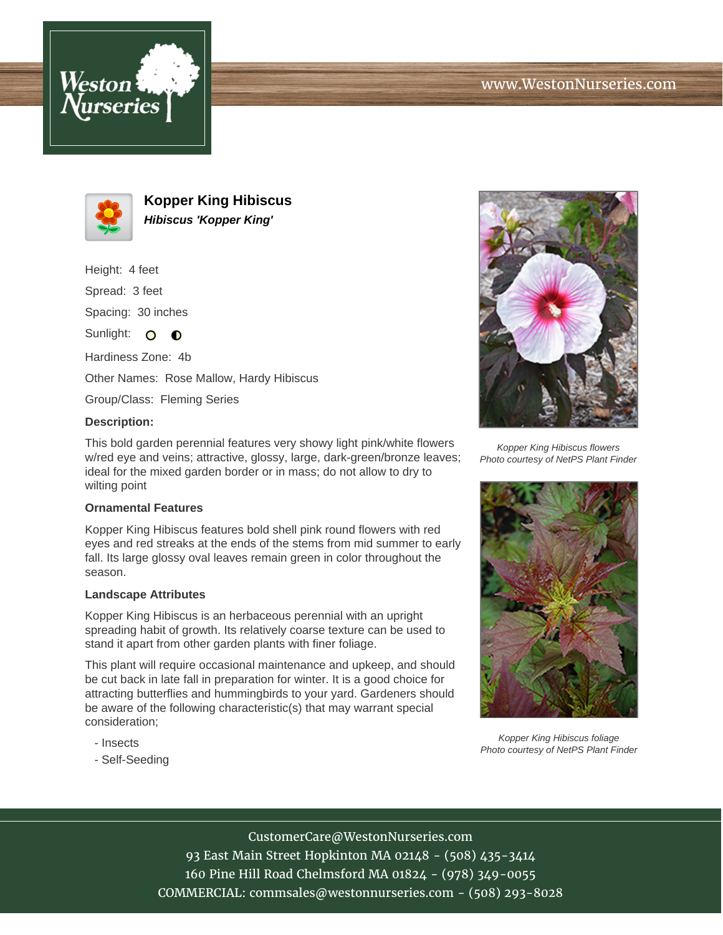



**Kopper King Hibiscus Hibiscus 'Kopper King'**

Height: 4 feet

Spread: 3 feet

Spacing: 30 inches

Sunlight:  $\Omega$  $\bullet$ 

Hardiness Zone: 4b

Other Names: Rose Mallow, Hardy Hibiscus

Group/Class: Fleming Series

## **Description:**

This bold garden perennial features very showy light pink/white flowers w/red eye and veins; attractive, glossy, large, dark-green/bronze leaves; ideal for the mixed garden border or in mass; do not allow to dry to wilting point

## **Ornamental Features**

Kopper King Hibiscus features bold shell pink round flowers with red eyes and red streaks at the ends of the stems from mid summer to early fall. Its large glossy oval leaves remain green in color throughout the season.

## **Landscape Attributes**

Kopper King Hibiscus is an herbaceous perennial with an upright spreading habit of growth. Its relatively coarse texture can be used to stand it apart from other garden plants with finer foliage.

This plant will require occasional maintenance and upkeep, and should be cut back in late fall in preparation for winter. It is a good choice for attracting butterflies and hummingbirds to your yard. Gardeners should be aware of the following characteristic(s) that may warrant special consideration;

- Insects
- Self-Seeding



Kopper King Hibiscus flowers Photo courtesy of NetPS Plant Finder



Kopper King Hibiscus foliage Photo courtesy of NetPS Plant Finder

CustomerCare@WestonNurseries.com 93 East Main Street Hopkinton MA 02148 - (508) 435-3414 160 Pine Hill Road Chelmsford MA 01824 - (978) 349-0055 COMMERCIAL: commsales@westonnurseries.com - (508) 293-8028